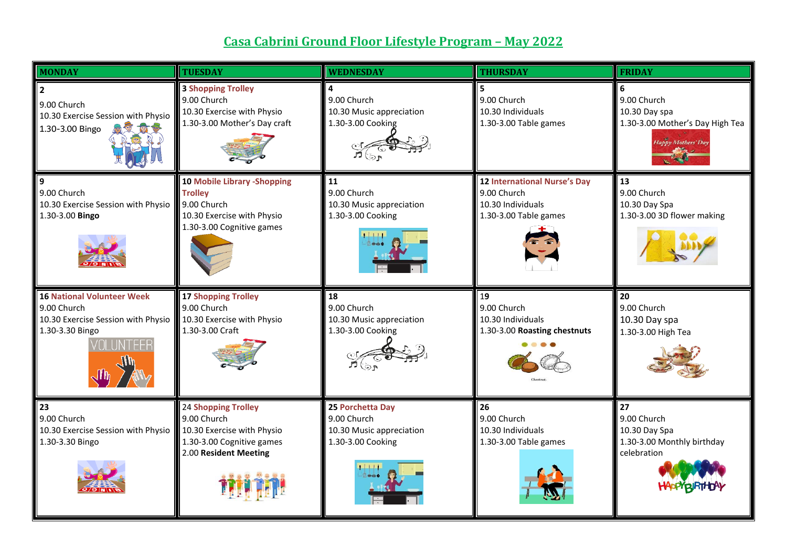## **Casa Cabrini Ground Floor Lifestyle Program – May 2022**

| <b>MONDAY</b>                                                                                                          | <b>TUESDAY</b>                                                                                                                 | <b>WEDNESDAY</b>                                                                                 | <b>THURSDAY</b>                                                                                  | <b>FRIDAY</b>                                                                                |
|------------------------------------------------------------------------------------------------------------------------|--------------------------------------------------------------------------------------------------------------------------------|--------------------------------------------------------------------------------------------------|--------------------------------------------------------------------------------------------------|----------------------------------------------------------------------------------------------|
| 9.00 Church<br>10.30 Exercise Session with Physio<br>高空窗<br>1.30-3.00 Bingo                                            | <b>3 Shopping Trolley</b><br>9.00 Church<br>10.30 Exercise with Physio<br>1.30-3.00 Mother's Day craft                         | 4<br>9.00 Church<br>10.30 Music appreciation<br>1.30-3.00 Cooking                                | 5<br>9.00 Church<br>10.30 Individuals<br>1.30-3.00 Table games                                   | 6<br>9.00 Church<br>10.30 Day spa<br>1.30-3.00 Mother's Day High Tea<br>Happy Mothers' Day   |
| 9<br>9.00 Church<br>10.30 Exercise Session with Physio<br>1.30-3.00 Bingo                                              | <b>10 Mobile Library -Shopping</b><br><b>Trolley</b><br>9.00 Church<br>10.30 Exercise with Physio<br>1.30-3.00 Cognitive games | 11<br>9.00 Church<br>10.30 Music appreciation<br>1.30-3.00 Cooking                               | <b>12 International Nurse's Day</b><br>9.00 Church<br>10.30 Individuals<br>1.30-3.00 Table games | 13<br>9.00 Church<br>10.30 Day Spa<br>1.30-3.00 3D flower making                             |
| <b>16 National Volunteer Week</b><br>9.00 Church<br>10.30 Exercise Session with Physio<br>1.30-3.30 Bingo<br>VOLUNTEER | <b>17 Shopping Trolley</b><br>9.00 Church<br>10.30 Exercise with Physio<br>1.30-3.00 Craft                                     | 18<br>9.00 Church<br>10.30 Music appreciation<br>1.30-3.00 Cooking<br>$\vec{p}$ $\mathfrak{S}_P$ | 19<br>9.00 Church<br>10.30 Individuals<br>1.30-3.00 Roasting chestnuts                           | 20<br>9.00 Church<br>10.30 Day spa<br>1.30-3.00 High Tea                                     |
| 23<br>9.00 Church<br>10.30 Exercise Session with Physio<br>1.30-3.30 Bingo                                             | <b>24 Shopping Trolley</b><br>9.00 Church<br>10.30 Exercise with Physio<br>1.30-3.00 Cognitive games<br>2.00 Resident Meeting  | 25 Porchetta Day<br>9.00 Church<br>10.30 Music appreciation<br>1.30-3.00 Cooking                 | 26<br>9.00 Church<br>10.30 Individuals<br>1.30-3.00 Table games                                  | $\overline{27}$<br>9.00 Church<br>10.30 Day Spa<br>1.30-3.00 Monthly birthday<br>celebration |